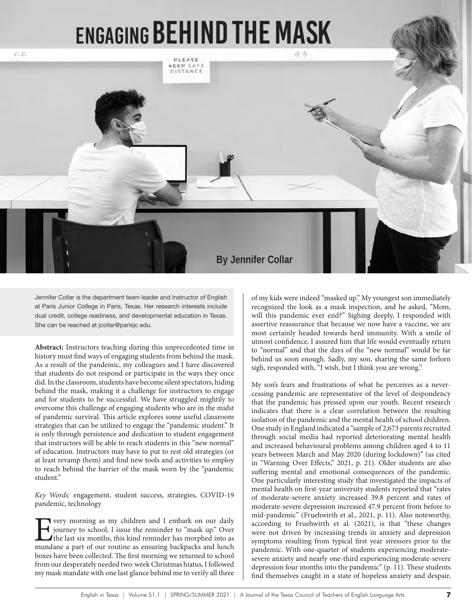# Engaging Behind the Mask



Jennifer Collar is the department team leader and Instructor of English at Paris Junior College in Paris, Texas. Her research interests include dual credit, college readiness, and developmental education in Texas. She can be reached at jcollar@parisjc.edu.

**Abstract:** Instructors teaching during this unprecedented time in history must find ways of engaging students from behind the mask. As a result of the pandemic, my colleagues and I have discovered that students do not respond or participate in the ways they once did. In the classroom, students have become silent spectators, hiding behind the mask, making it a challenge for instructors to engage and for students to be successful. We have struggled mightily to overcome this challenge of engaging students who are in the midst of pandemic survival. This article explores some useful classroom strategies that can be utilized to engage the "pandemic student." It is only through persistence and dedication to student engagement that instructors will be able to reach students in this "new normal" of education. Instructors may have to put to rest old strategies (or at least revamp them) and find new tools and activities to employ to reach behind the barrier of the mask worn by the "pandemic student."

*Key Words:* engagement, student success, strategies, COVID-19 pandemic, technology

For very morning as my children and I embark on our daily<br>journey to school, I issue the reminder to "mask up." Over<br>the last six months, this kind reminder has morphed into as<br>mundane a part of our routine as ensuring bac journey to school, I issue the reminder to "mask up." Over the last six months, this kind reminder has morphed into as mundane a part of our routine as ensuring backpacks and lunch boxes have been collected. The first morning we returned to school from our desperately needed two-week Christmas hiatus, I followed my mask mandate with one last glance behind me to verify all three

of my kids were indeed "masked up." My youngest son immediately recognized the look as a mask inspection, and he asked, "Mom, will this pandemic ever end?" Sighing deeply, I responded with assertive reassurance that because we now have a vaccine, we are most certainly headed towards herd immunity. With a smile of utmost confidence, I assured him that life would eventually return to "normal" and that the days of the "new normal" would be far behind us soon enough. Sadly, my son, sharing the same forlorn sigh, responded with, "I wish, but I think you are wrong."

My son's fears and frustrations of what he perceives as a neverceasing pandemic are representative of the level of despondency that the pandemic has pressed upon our youth. Recent research indicates that there is a clear correlation between the resulting isolation of the pandemic and the mental health of school children. One study in England indicated a "sample of 2,673 parents recruited through social media had reported deteriorating mental health and increased behavioural problems among children aged 4 to 11 years between March and May 2020 (during lockdown)" (as cited in "Warning Over Effects," 2021, p. 21). Older students are also suffering mental and emotional consequences of the pandemic. One particularly interesting study that investigated the impacts of mental health on first-year university students reported that "rates of moderate-severe anxiety increased 39.8 percent and rates of moderate-severe depression increased 47.9 percent from before to mid-pandemic" (Fruehwirth et al., 2021, p. 11). Also noteworthy, according to Fruehwirth et al. (2021), is that "these changes were not driven by increasing trends in anxiety and depression symptoms resulting from typical first year stressors prior to the pandemic. With one-quarter of students experiencing moderatesevere anxiety and nearly one-third experiencing moderate-severe depression four months into the pandemic" (p. 11). These students find themselves caught in a state of hopeless anxiety and despair,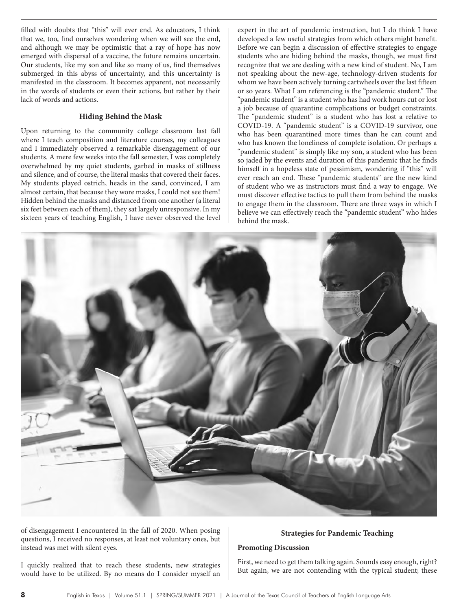filled with doubts that "this" will ever end. As educators, I think that we, too, find ourselves wondering when we will see the end, and although we may be optimistic that a ray of hope has now emerged with dispersal of a vaccine, the future remains uncertain. Our students, like my son and like so many of us, find themselves submerged in this abyss of uncertainty, and this uncertainty is manifested in the classroom. It becomes apparent, not necessarily in the words of students or even their actions, but rather by their lack of words and actions.

### **Hiding Behind the Mask**

Upon returning to the community college classroom last fall where I teach composition and literature courses, my colleagues and I immediately observed a remarkable disengagement of our students. A mere few weeks into the fall semester, I was completely overwhelmed by my quiet students, garbed in masks of stillness and silence, and of course, the literal masks that covered their faces. My students played ostrich, heads in the sand, convinced, I am almost certain, that because they wore masks, I could not see them! Hidden behind the masks and distanced from one another (a literal six feet between each of them), they sat largely unresponsive. In my sixteen years of teaching English, I have never observed the level expert in the art of pandemic instruction, but I do think I have developed a few useful strategies from which others might benefit. Before we can begin a discussion of effective strategies to engage students who are hiding behind the masks, though, we must first recognize that we are dealing with a new kind of student. No, I am not speaking about the new-age, technology-driven students for whom we have been actively turning cartwheels over the last fifteen or so years. What I am referencing is the "pandemic student." The "pandemic student" is a student who has had work hours cut or lost a job because of quarantine complications or budget constraints. The "pandemic student" is a student who has lost a relative to COVID-19. A "pandemic student" is a COVID-19 survivor, one who has been quarantined more times than he can count and who has known the loneliness of complete isolation. Or perhaps a "pandemic student" is simply like my son, a student who has been so jaded by the events and duration of this pandemic that he finds himself in a hopeless state of pessimism, wondering if "this" will ever reach an end. These "pandemic students" are the new kind of student who we as instructors must find a way to engage. We must discover effective tactics to pull them from behind the masks to engage them in the classroom. There are three ways in which I believe we can effectively reach the "pandemic student" who hides behind the mask.



of disengagement I encountered in the fall of 2020. When posing questions, I received no responses, at least not voluntary ones, but instead was met with silent eyes.

#### I quickly realized that to reach these students, new strategies would have to be utilized. By no means do I consider myself an

# **Strategies for Pandemic Teaching**

#### **Promoting Discussion**

First, we need to get them talking again. Sounds easy enough, right? But again, we are not contending with the typical student; these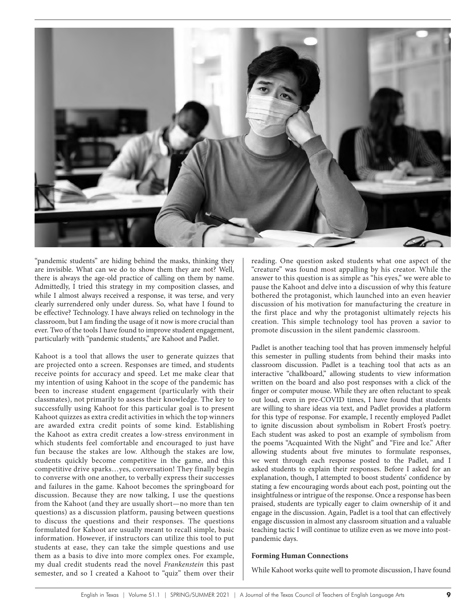

"pandemic students" are hiding behind the masks, thinking they are invisible. What can we do to show them they are not? Well, there is always the age-old practice of calling on them by name. Admittedly, I tried this strategy in my composition classes, and while I almost always received a response, it was terse, and very clearly surrendered only under duress. So, what have I found to be effective? Technology. I have always relied on technology in the classroom, but I am finding the usage of it now is more crucial than ever. Two of the tools I have found to improve student engagement, particularly with "pandemic students," are Kahoot and Padlet.

Kahoot is a tool that allows the user to generate quizzes that are projected onto a screen. Responses are timed, and students receive points for accuracy and speed. Let me make clear that my intention of using Kahoot in the scope of the pandemic has been to increase student engagement (particularly with their classmates), not primarily to assess their knowledge. The key to successfully using Kahoot for this particular goal is to present Kahoot quizzes as extra credit activities in which the top winners are awarded extra credit points of some kind. Establishing the Kahoot as extra credit creates a low-stress environment in which students feel comfortable and encouraged to just have fun because the stakes are low. Although the stakes are low, students quickly become competitive in the game, and this competitive drive sparks…yes, conversation! They finally begin to converse with one another, to verbally express their successes and failures in the game. Kahoot becomes the springboard for discussion. Because they are now talking, I use the questions from the Kahoot (and they are usually short—no more than ten questions) as a discussion platform, pausing between questions to discuss the questions and their responses. The questions formulated for Kahoot are usually meant to recall simple, basic information. However, if instructors can utilize this tool to put students at ease, they can take the simple questions and use them as a basis to dive into more complex ones. For example, my dual credit students read the novel *Frankenstein* this past semester, and so I created a Kahoot to "quiz" them over their

reading. One question asked students what one aspect of the "creature" was found most appalling by his creator. While the answer to this question is as simple as "his eyes," we were able to pause the Kahoot and delve into a discussion of why this feature bothered the protagonist, which launched into an even heavier discussion of his motivation for manufacturing the creature in the first place and why the protagonist ultimately rejects his creation. This simple technology tool has proven a savior to promote discussion in the silent pandemic classroom.

Padlet is another teaching tool that has proven immensely helpful this semester in pulling students from behind their masks into classroom discussion. Padlet is a teaching tool that acts as an interactive "chalkboard," allowing students to view information written on the board and also post responses with a click of the finger or computer mouse. While they are often reluctant to speak out loud, even in pre-COVID times, I have found that students are willing to share ideas via text, and Padlet provides a platform for this type of response. For example, I recently employed Padlet to ignite discussion about symbolism in Robert Frost's poetry. Each student was asked to post an example of symbolism from the poems "Acquainted With the Night" and "Fire and Ice." After allowing students about five minutes to formulate responses, we went through each response posted to the Padlet, and I asked students to explain their responses. Before I asked for an explanation, though, I attempted to boost students' confidence by stating a few encouraging words about each post, pointing out the insightfulness or intrigue of the response. Once a response has been praised, students are typically eager to claim ownership of it and engage in the discussion. Again, Padlet is a tool that can effectively engage discussion in almost any classroom situation and a valuable teaching tactic I will continue to utilize even as we move into postpandemic days.

#### **Forming Human Connections**

While Kahoot works quite well to promote discussion, I have found